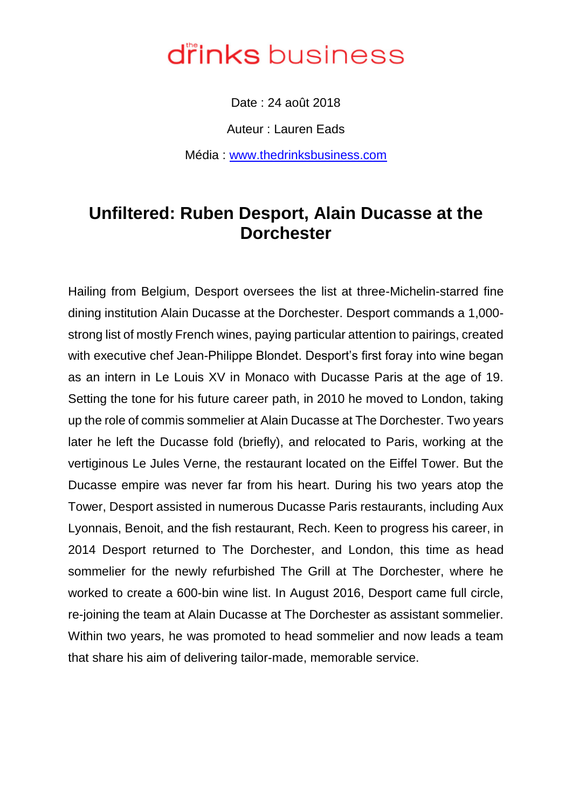Date : 24 août 2018

Auteur : Lauren Eads

Média : [www.thedrinksbusiness.com](http://www.thedrinksbusiness.com/) 

### **Unfiltered: Ruben Desport, Alain Ducasse at the Dorchester**

Hailing from Belgium, Desport oversees the list at three-Michelin-starred fine dining institution Alain Ducasse at the Dorchester. Desport commands a 1,000 strong list of mostly French wines, paying particular attention to pairings, created with executive chef Jean-Philippe Blondet. Desport's first foray into wine began as an intern in Le Louis XV in Monaco with Ducasse Paris at the age of 19. Setting the tone for his future career path, in 2010 he moved to London, taking up the role of commis sommelier at Alain Ducasse at The Dorchester. Two years later he left the Ducasse fold (briefly), and relocated to Paris, working at the vertiginous Le Jules Verne, the restaurant located on the Eiffel Tower. But the Ducasse empire was never far from his heart. During his two years atop the Tower, Desport assisted in numerous Ducasse Paris restaurants, including Aux Lyonnais, Benoit, and the fish restaurant, Rech. Keen to progress his career, in 2014 Desport returned to The Dorchester, and London, this time as head sommelier for the newly refurbished The Grill at The Dorchester, where he worked to create a 600-bin wine list. In August 2016, Desport came full circle, re-joining the team at Alain Ducasse at The Dorchester as assistant sommelier. Within two years, he was promoted to head sommelier and now leads a team that share his aim of delivering tailor-made, memorable service.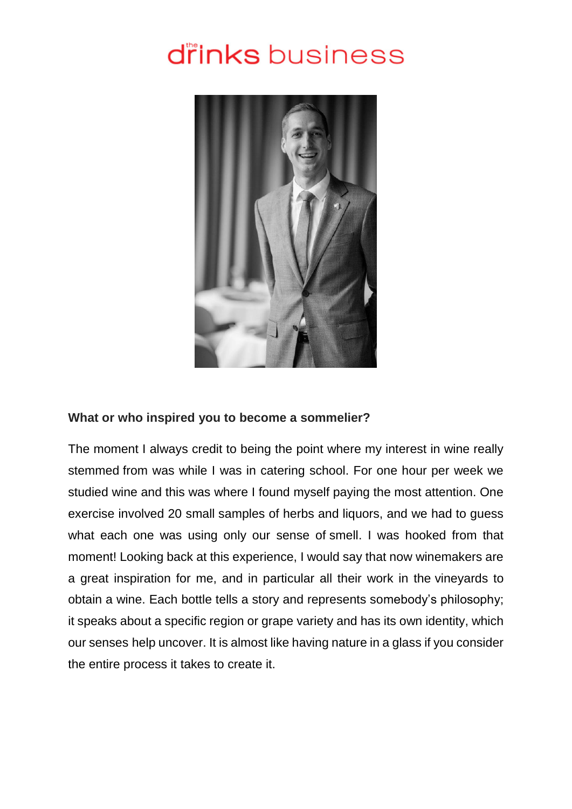

#### **What or who inspired you to become a sommelier?**

The moment I always credit to being the point where my interest in wine really stemmed from was while I was in catering school. For one hour per week we studied wine and this was where I found myself paying the most attention. One exercise involved 20 small samples of herbs and liquors, and we had to guess what each one was using only our sense of smell. I was hooked from that moment! Looking back at this experience, I would say that now winemakers are a great inspiration for me, and in particular all their work in the vineyards to obtain a wine. Each bottle tells a story and represents somebody's philosophy; it speaks about a specific region or grape variety and has its own identity, which our senses help uncover. It is almost like having nature in a glass if you consider the entire process it takes to create it.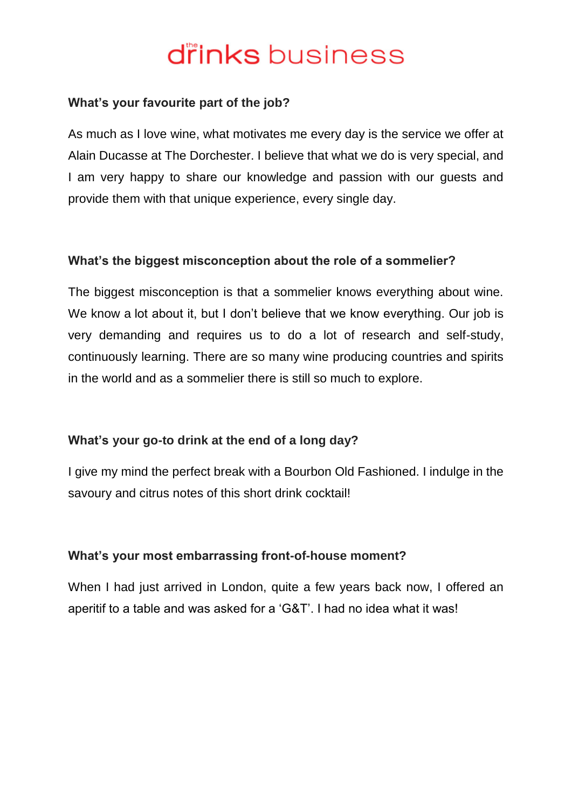#### **What's your favourite part of the job?**

As much as I love wine, what motivates me every day is the service we offer at Alain Ducasse at The Dorchester. I believe that what we do is very special, and I am very happy to share our knowledge and passion with our guests and provide them with that unique experience, every single day.

#### **What's the biggest misconception about the role of a sommelier?**

The biggest misconception is that a sommelier knows everything about wine. We know a lot about it, but I don't believe that we know everything. Our job is very demanding and requires us to do a lot of research and self-study, continuously learning. There are so many wine producing countries and spirits in the world and as a sommelier there is still so much to explore.

#### **What's your go-to drink at the end of a long day?**

I give my mind the perfect break with a Bourbon Old Fashioned. I indulge in the savoury and citrus notes of this short drink cocktail!

#### **What's your most embarrassing front-of-house moment?**

When I had just arrived in London, quite a few years back now, I offered an aperitif to a table and was asked for a 'G&T'. I had no idea what it was!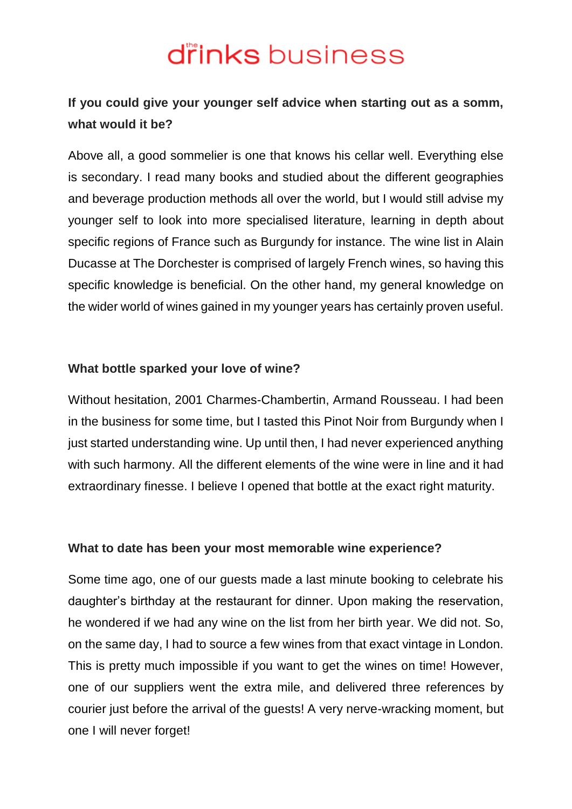### **If you could give your younger self advice when starting out as a somm, what would it be?**

Above all, a good sommelier is one that knows his cellar well. Everything else is secondary. I read many books and studied about the different geographies and beverage production methods all over the world, but I would still advise my younger self to look into more specialised literature, learning in depth about specific regions of France such as Burgundy for instance. The wine list in Alain Ducasse at The Dorchester is comprised of largely French wines, so having this specific knowledge is beneficial. On the other hand, my general knowledge on the wider world of wines gained in my younger years has certainly proven useful.

#### **What bottle sparked your love of wine?**

Without hesitation, 2001 Charmes-Chambertin, Armand Rousseau. I had been in the business for some time, but I tasted this Pinot Noir from Burgundy when I just started understanding wine. Up until then, I had never experienced anything with such harmony. All the different elements of the wine were in line and it had extraordinary finesse. I believe I opened that bottle at the exact right maturity.

#### **What to date has been your most memorable wine experience?**

Some time ago, one of our guests made a last minute booking to celebrate his daughter's birthday at the restaurant for dinner. Upon making the reservation, he wondered if we had any wine on the list from her birth year. We did not. So, on the same day, I had to source a few wines from that exact vintage in London. This is pretty much impossible if you want to get the wines on time! However, one of our suppliers went the extra mile, and delivered three references by courier just before the arrival of the guests! A very nerve-wracking moment, but one I will never forget!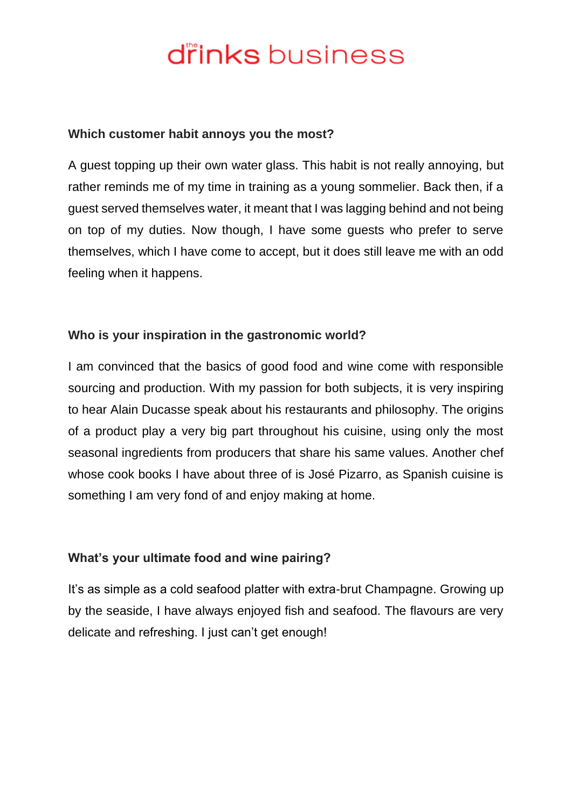#### **Which customer habit annoys you the most?**

A guest topping up their own water glass. This habit is not really annoying, but rather reminds me of my time in training as a young sommelier. Back then, if a guest served themselves water, it meant that I was lagging behind and not being on top of my duties. Now though, I have some guests who prefer to serve themselves, which I have come to accept, but it does still leave me with an odd feeling when it happens.

#### **Who is your inspiration in the gastronomic world?**

I am convinced that the basics of good food and wine come with responsible sourcing and production. With my passion for both subjects, it is very inspiring to hear Alain Ducasse speak about his restaurants and philosophy. The origins of a product play a very big part throughout his cuisine, using only the most seasonal ingredients from producers that share his same values. Another chef whose cook books I have about three of is José Pizarro, as Spanish cuisine is something I am very fond of and enjoy making at home.

#### **What's your ultimate food and wine pairing?**

It's as simple as a cold seafood platter with extra-brut Champagne. Growing up by the seaside, I have always enjoyed fish and seafood. The flavours are very delicate and refreshing. I just can't get enough!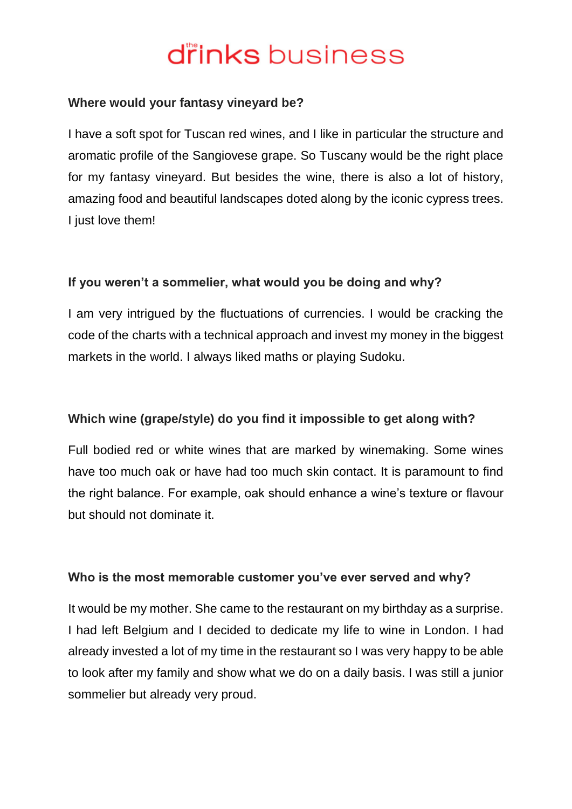#### **Where would your fantasy vineyard be?**

I have a soft spot for Tuscan red wines, and I like in particular the structure and aromatic profile of the Sangiovese grape. So Tuscany would be the right place for my fantasy vineyard. But besides the wine, there is also a lot of history, amazing food and beautiful landscapes doted along by the iconic cypress trees. I just love them!

#### **If you weren't a sommelier, what would you be doing and why?**

I am very intrigued by the fluctuations of currencies. I would be cracking the code of the charts with a technical approach and invest my money in the biggest markets in the world. I always liked maths or playing Sudoku.

#### **Which wine (grape/style) do you find it impossible to get along with?**

Full bodied red or white wines that are marked by winemaking. Some wines have too much oak or have had too much skin contact. It is paramount to find the right balance. For example, oak should enhance a wine's texture or flavour but should not dominate it.

#### **Who is the most memorable customer you've ever served and why?**

It would be my mother. She came to the restaurant on my birthday as a surprise. I had left Belgium and I decided to dedicate my life to wine in London. I had already invested a lot of my time in the restaurant so I was very happy to be able to look after my family and show what we do on a daily basis. I was still a junior sommelier but already very proud.